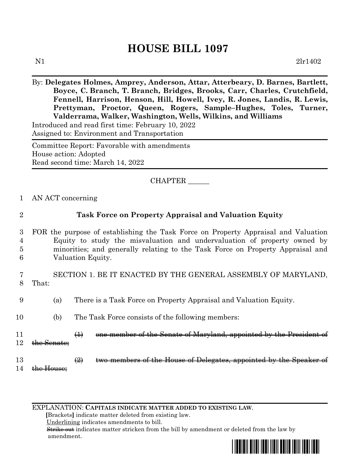## **HOUSE BILL 1097**

By: **Delegates Holmes, Amprey, Anderson, Attar, Atterbeary, D. Barnes, Bartlett, Boyce, C. Branch, T. Branch, Bridges, Brooks, Carr, Charles, Crutchfield, Fennell, Harrison, Henson, Hill, Howell, Ivey, R. Jones, Landis, R. Lewis, Prettyman, Proctor, Queen, Rogers, Sample–Hughes, Toles, Turner, Valderrama, Walker, Washington, Wells, Wilkins, and Williams** Introduced and read first time: February 10, 2022 Assigned to: Environment and Transportation

Committee Report: Favorable with amendments House action: Adopted Read second time: March 14, 2022

CHAPTER \_\_\_\_\_\_

1 AN ACT concerning

| 2                | <b>Task Force on Property Appraisal and Valuation Equity</b>                                                                                                                                                                                                          |                                                                            |  |  |  |
|------------------|-----------------------------------------------------------------------------------------------------------------------------------------------------------------------------------------------------------------------------------------------------------------------|----------------------------------------------------------------------------|--|--|--|
| 3<br>4<br>Ð<br>6 | FOR the purpose of establishing the Task Force on Property Appraisal and Valuation<br>Equity to study the misvaluation and undervaluation of property owned by<br>minorities; and generally relating to the Task Force on Property Appraisal and<br>Valuation Equity. |                                                                            |  |  |  |
| 8                | SECTION 1. BE IT ENACTED BY THE GENERAL ASSEMBLY OF MARYLAND,<br>That:                                                                                                                                                                                                |                                                                            |  |  |  |
| 9                | (a)                                                                                                                                                                                                                                                                   | There is a Task Force on Property Appraisal and Valuation Equity.          |  |  |  |
| 10               | (b)                                                                                                                                                                                                                                                                   | The Task Force consists of the following members:                          |  |  |  |
| 11<br>12         |                                                                                                                                                                                                                                                                       | one member of the Senate of Maryland, appointed by the Preside<br>$\oplus$ |  |  |  |
| 13<br>14         |                                                                                                                                                                                                                                                                       | $\circled{2}$                                                              |  |  |  |

EXPLANATION: **CAPITALS INDICATE MATTER ADDED TO EXISTING LAW**.

 **[**Brackets**]** indicate matter deleted from existing law.

Underlining indicates amendments to bill.

 Strike out indicates matter stricken from the bill by amendment or deleted from the law by amendment.

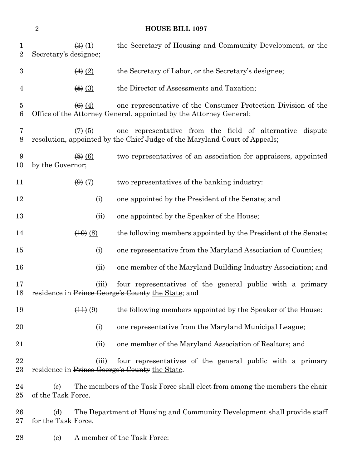## **HOUSE BILL 1097**

| $\mathbf{1}$<br>$\overline{2}$ | Secretary's designee;      | $\left(\frac{3}{2}\right)$ $\left(\frac{1}{2}\right)$ | the Secretary of Housing and Community Development, or the                                                                             |
|--------------------------------|----------------------------|-------------------------------------------------------|----------------------------------------------------------------------------------------------------------------------------------------|
| $\boldsymbol{3}$               |                            | $\leftrightarrow$ (2)                                 | the Secretary of Labor, or the Secretary's designee;                                                                                   |
| 4                              |                            | $\left( 5 \right)$ $\left( 3 \right)$                 | the Director of Assessments and Taxation;                                                                                              |
| $\overline{5}$<br>6            |                            | $\left( 6 \right) (4)$                                | one representative of the Consumer Protection Division of the<br>Office of the Attorney General, appointed by the Attorney General;    |
| 7<br>8                         |                            | $\leftrightarrow$ (5)                                 | one representative from the field of alternative dispute<br>resolution, appointed by the Chief Judge of the Maryland Court of Appeals; |
| 9<br>10                        | by the Governor;           | $\left(\frac{8}{6}\right)$ (6)                        | two representatives of an association for appraisers, appointed                                                                        |
| 11                             |                            | $\left(\theta\right)\left(\overline{7}\right)$        | two representatives of the banking industry:                                                                                           |
| 12                             |                            | (i)                                                   | one appointed by the President of the Senate; and                                                                                      |
| 13                             |                            | (ii)                                                  | one appointed by the Speaker of the House;                                                                                             |
| 14                             |                            | $\left(40\right)(8)$                                  | the following members appointed by the President of the Senate:                                                                        |
| $15\,$                         |                            | (i)                                                   | one representative from the Maryland Association of Counties;                                                                          |
| 16                             |                            | (ii)                                                  | one member of the Maryland Building Industry Association; and                                                                          |
| 17<br>18                       |                            | (iii)                                                 | four representatives of the general public with a primary<br>residence in Prince George's County the State; and                        |
| 19                             |                            | $\left(\frac{11}{2}\right)\left(\frac{9}{2}\right)$   | the following members appointed by the Speaker of the House:                                                                           |
| 20                             |                            | (i)                                                   | one representative from the Maryland Municipal League;                                                                                 |
| 21                             |                            | (ii)                                                  | one member of the Maryland Association of Realtors; and                                                                                |
| 22<br>23                       |                            | (iii)                                                 | four representatives of the general public with a primary<br>residence in Prince George's County the State.                            |
| 24<br>$25\,$                   | (c)<br>of the Task Force.  |                                                       | The members of the Task Force shall elect from among the members the chair                                                             |
| $26\,$<br>$27\,$               | (d)<br>for the Task Force. |                                                       | The Department of Housing and Community Development shall provide staff                                                                |
| 28                             | (e)                        |                                                       | A member of the Task Force:                                                                                                            |